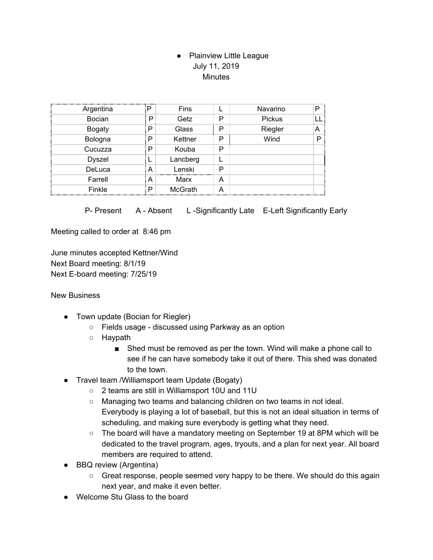## • Plainview Little League July 11, 2019 **Minutes**

| Argentina     |   | Fins           |   | Navarino | P |
|---------------|---|----------------|---|----------|---|
| Bocian        | P | Getz           | Р | Pickus   |   |
| <b>Bogaty</b> | P | Glass          | P | Riegler  | А |
| Bologna       | Р | Kettner        | P | Wind     |   |
| Cucuzza       | P | Kouba          | P |          |   |
| <b>Dyszel</b> |   | Lancberg       |   |          |   |
| DeLuca        | А | Lenski         | P |          |   |
| Farrell       | А | Marx           | Α |          |   |
| Finkle        | P | <b>McGrath</b> | А |          |   |

P- Present A - Absent L-Significantly Late E-Left Significantly Early

Meeting called to order at 8:46 pm

June minutes accepted Kettner/Wind Next Board meeting: 8/1/19 Next E-board meeting: 7/25/19

New Business

- Town update (Bocian for Riegler)
	- Fields usage discussed using Parkway as an option
	- Haypath
		- Shed must be removed as per the town. Wind will make a phone call to see if he can have somebody take it out of there. This shed was donated to the town.
- Travel team /Williamsport team Update (Bogaty)
	- 2 teams are still in Williamsport 10U and 11U
	- Managing two teams and balancing children on two teams in not ideal. Everybody is playing a lot of baseball, but this is not an ideal situation in terms of scheduling, and making sure everybody is getting what they need.
	- $\circ$  The board will have a mandatory meeting on September 19 at 8PM which will be dedicated to the travel program, ages, tryouts, and a plan for next year. All board members are required to attend.
- BBQ review (Argentina)
	- Great response, people seemed very happy to be there. We should do this again next year, and make it even better.
- Welcome Stu Glass to the board